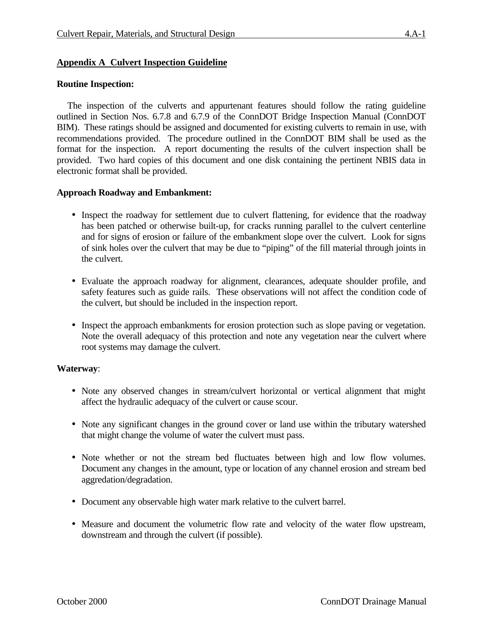# **Appendix A Culvert Inspection Guideline**

## **Routine Inspection:**

The inspection of the culverts and appurtenant features should follow the rating guideline outlined in Section Nos. 6.7.8 and 6.7.9 of the ConnDOT Bridge Inspection Manual (ConnDOT BIM). These ratings should be assigned and documented for existing culverts to remain in use, with recommendations provided. The procedure outlined in the ConnDOT BIM shall be used as the format for the inspection. A report documenting the results of the culvert inspection shall be provided. Two hard copies of this document and one disk containing the pertinent NBIS data in electronic format shall be provided.

### **Approach Roadway and Embankment:**

- Inspect the roadway for settlement due to culvert flattening, for evidence that the roadway has been patched or otherwise built-up, for cracks running parallel to the culvert centerline and for signs of erosion or failure of the embankment slope over the culvert. Look for signs of sink holes over the culvert that may be due to "piping" of the fill material through joints in the culvert.
- Evaluate the approach roadway for alignment, clearances, adequate shoulder profile, and safety features such as guide rails. These observations will not affect the condition code of the culvert, but should be included in the inspection report.
- Inspect the approach embankments for erosion protection such as slope paving or vegetation. Note the overall adequacy of this protection and note any vegetation near the culvert where root systems may damage the culvert.

#### **Waterway**:

- Note any observed changes in stream/culvert horizontal or vertical alignment that might affect the hydraulic adequacy of the culvert or cause scour.
- Note any significant changes in the ground cover or land use within the tributary watershed that might change the volume of water the culvert must pass.
- Note whether or not the stream bed fluctuates between high and low flow volumes. Document any changes in the amount, type or location of any channel erosion and stream bed aggredation/degradation.
- Document any observable high water mark relative to the culvert barrel.
- Measure and document the volumetric flow rate and velocity of the water flow upstream, downstream and through the culvert (if possible).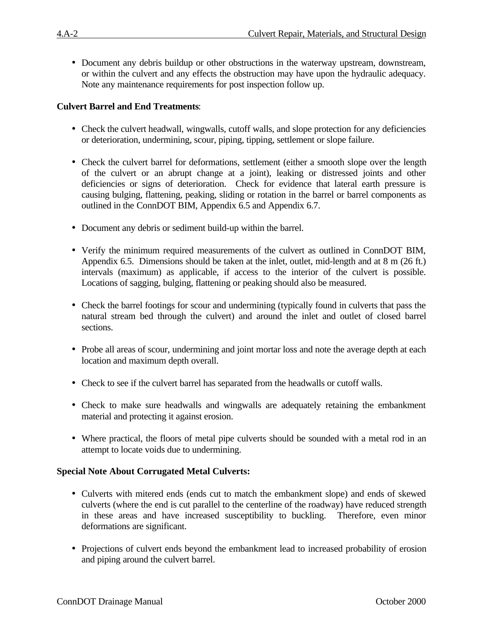• Document any debris buildup or other obstructions in the waterway upstream, downstream, or within the culvert and any effects the obstruction may have upon the hydraulic adequacy. Note any maintenance requirements for post inspection follow up.

# **Culvert Barrel and End Treatments**:

- Check the culvert headwall, wingwalls, cutoff walls, and slope protection for any deficiencies or deterioration, undermining, scour, piping, tipping, settlement or slope failure.
- Check the culvert barrel for deformations, settlement (either a smooth slope over the length of the culvert or an abrupt change at a joint), leaking or distressed joints and other deficiencies or signs of deterioration. Check for evidence that lateral earth pressure is causing bulging, flattening, peaking, sliding or rotation in the barrel or barrel components as outlined in the ConnDOT BIM, Appendix 6.5 and Appendix 6.7.
- Document any debris or sediment build-up within the barrel.
- Verify the minimum required measurements of the culvert as outlined in ConnDOT BIM, Appendix 6.5. Dimensions should be taken at the inlet, outlet, mid-length and at 8 m (26 ft.) intervals (maximum) as applicable, if access to the interior of the culvert is possible. Locations of sagging, bulging, flattening or peaking should also be measured.
- Check the barrel footings for scour and undermining (typically found in culverts that pass the natural stream bed through the culvert) and around the inlet and outlet of closed barrel sections.
- Probe all areas of scour, undermining and joint mortar loss and note the average depth at each location and maximum depth overall.
- Check to see if the culvert barrel has separated from the headwalls or cutoff walls.
- Check to make sure headwalls and wingwalls are adequately retaining the embankment material and protecting it against erosion.
- Where practical, the floors of metal pipe culverts should be sounded with a metal rod in an attempt to locate voids due to undermining.

## **Special Note About Corrugated Metal Culverts:**

- Culverts with mitered ends (ends cut to match the embankment slope) and ends of skewed culverts (where the end is cut parallel to the centerline of the roadway) have reduced strength in these areas and have increased susceptibility to buckling. Therefore, even minor deformations are significant.
- Projections of culvert ends beyond the embankment lead to increased probability of erosion and piping around the culvert barrel.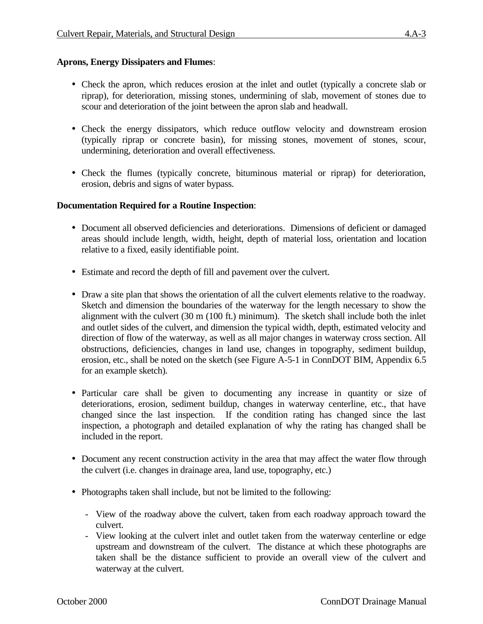## **Aprons, Energy Dissipaters and Flumes**:

- Check the apron, which reduces erosion at the inlet and outlet (typically a concrete slab or riprap), for deterioration, missing stones, undermining of slab, movement of stones due to scour and deterioration of the joint between the apron slab and headwall.
- Check the energy dissipators, which reduce outflow velocity and downstream erosion (typically riprap or concrete basin), for missing stones, movement of stones, scour, undermining, deterioration and overall effectiveness.
- Check the flumes (typically concrete, bituminous material or riprap) for deterioration, erosion, debris and signs of water bypass.

### **Documentation Required for a Routine Inspection**:

- Document all observed deficiencies and deteriorations. Dimensions of deficient or damaged areas should include length, width, height, depth of material loss, orientation and location relative to a fixed, easily identifiable point.
- Estimate and record the depth of fill and pavement over the culvert.
- Draw a site plan that shows the orientation of all the culvert elements relative to the roadway. Sketch and dimension the boundaries of the waterway for the length necessary to show the alignment with the culvert (30 m (100 ft.) minimum). The sketch shall include both the inlet and outlet sides of the culvert, and dimension the typical width, depth, estimated velocity and direction of flow of the waterway, as well as all major changes in waterway cross section. All obstructions, deficiencies, changes in land use, changes in topography, sediment buildup, erosion, etc., shall be noted on the sketch (see Figure A-5-1 in ConnDOT BIM, Appendix 6.5 for an example sketch).
- Particular care shall be given to documenting any increase in quantity or size of deteriorations, erosion, sediment buildup, changes in waterway centerline, etc., that have changed since the last inspection. If the condition rating has changed since the last inspection, a photograph and detailed explanation of why the rating has changed shall be included in the report.
- Document any recent construction activity in the area that may affect the water flow through the culvert (i.e. changes in drainage area, land use, topography, etc.)
- Photographs taken shall include, but not be limited to the following:
	- View of the roadway above the culvert, taken from each roadway approach toward the culvert.
	- View looking at the culvert inlet and outlet taken from the waterway centerline or edge upstream and downstream of the culvert. The distance at which these photographs are taken shall be the distance sufficient to provide an overall view of the culvert and waterway at the culvert.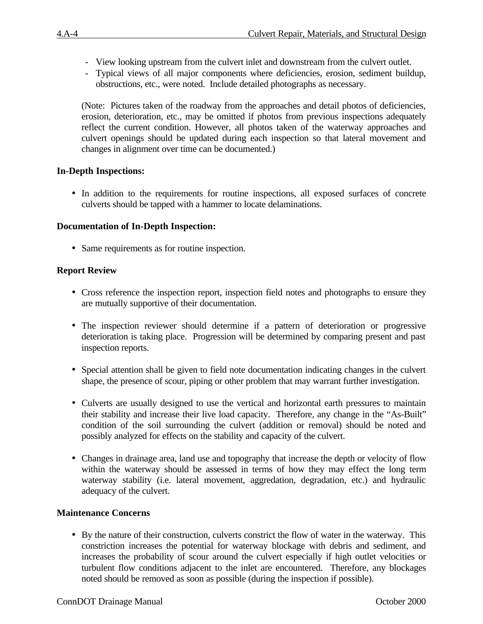- View looking upstream from the culvert inlet and downstream from the culvert outlet.
- Typical views of all major components where deficiencies, erosion, sediment buildup, obstructions, etc., were noted. Include detailed photographs as necessary.

(Note: Pictures taken of the roadway from the approaches and detail photos of deficiencies, erosion, deterioration, etc., may be omitted if photos from previous inspections adequately reflect the current condition. However, all photos taken of the waterway approaches and culvert openings should be updated during each inspection so that lateral movement and changes in alignment over time can be documented.)

### **In-Depth Inspections:**

• In addition to the requirements for routine inspections, all exposed surfaces of concrete culverts should be tapped with a hammer to locate delaminations.

### **Documentation of In-Depth Inspection:**

• Same requirements as for routine inspection.

### **Report Review**

- Cross reference the inspection report, inspection field notes and photographs to ensure they are mutually supportive of their documentation.
- The inspection reviewer should determine if a pattern of deterioration or progressive deterioration is taking place. Progression will be determined by comparing present and past inspection reports.
- Special attention shall be given to field note documentation indicating changes in the culvert shape, the presence of scour, piping or other problem that may warrant further investigation.
- Culverts are usually designed to use the vertical and horizontal earth pressures to maintain their stability and increase their live load capacity. Therefore, any change in the "As-Built" condition of the soil surrounding the culvert (addition or removal) should be noted and possibly analyzed for effects on the stability and capacity of the culvert.
- Changes in drainage area, land use and topography that increase the depth or velocity of flow within the waterway should be assessed in terms of how they may effect the long term waterway stability (i.e. lateral movement, aggredation, degradation, etc.) and hydraulic adequacy of the culvert.

#### **Maintenance Concerns**

• By the nature of their construction, culverts constrict the flow of water in the waterway. This constriction increases the potential for waterway blockage with debris and sediment, and increases the probability of scour around the culvert especially if high outlet velocities or turbulent flow conditions adjacent to the inlet are encountered. Therefore, any blockages noted should be removed as soon as possible (during the inspection if possible).